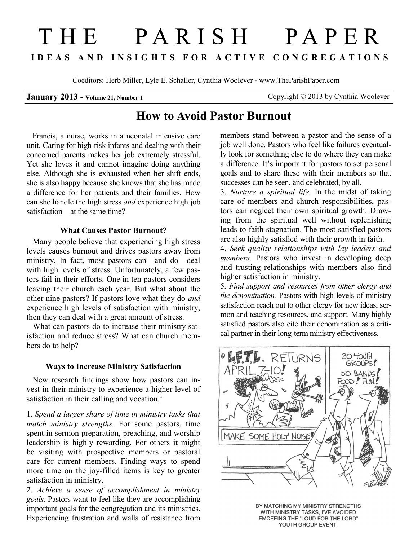# THE PARISH PAPER **I D E A S A N D I N S I G H T S F O R A C T I V E C O N G R E G A T I O N S**

Coeditors: Herb Miller, Lyle E. Schaller, Cynthia Woolever - www.TheParishPaper.com

**January 2013 - Volume 21, Number 1 Copyright © 2013 by Cynthia Woolever** 

## **How to Avoid Pastor Burnout**

 Francis, a nurse, works in a neonatal intensive care unit. Caring for high-risk infants and dealing with their concerned parents makes her job extremely stressful. Yet she loves it and cannot imagine doing anything else. Although she is exhausted when her shift ends, she is also happy because she knows that she has made a difference for her patients and their families. How can she handle the high stress *and* experience high job satisfaction—at the same time?

#### **What Causes Pastor Burnout?**

 Many people believe that experiencing high stress levels causes burnout and drives pastors away from ministry. In fact, most pastors can—and do—deal with high levels of stress. Unfortunately, a few pastors fail in their efforts. One in ten pastors considers leaving their church each year. But what about the other nine pastors? If pastors love what they do *and* experience high levels of satisfaction with ministry, then they can deal with a great amount of stress.

 What can pastors do to increase their ministry satisfaction and reduce stress? What can church members do to help?

#### **Ways to Increase Ministry Satisfaction**

 New research findings show how pastors can invest in their ministry to experience a higher level of satisfaction in their calling and vocation.<sup>1</sup>

1. *Spend a larger share of time in ministry tasks that match ministry strengths.* For some pastors, time spent in sermon preparation, preaching, and worship leadership is highly rewarding. For others it might be visiting with prospective members or pastoral care for current members. Finding ways to spend more time on the joy-filled items is key to greater satisfaction in ministry.

2. *Achieve a sense of accomplishment in ministry goals.* Pastors want to feel like they are accomplishing important goals for the congregation and its ministries. Experiencing frustration and walls of resistance from

members stand between a pastor and the sense of a job well done. Pastors who feel like failures eventually look for something else to do where they can make a difference. It's important for pastors to set personal goals and to share these with their members so that successes can be seen, and celebrated, by all.

3. *Nurture a spiritual life.* In the midst of taking care of members and church responsibilities, pastors can neglect their own spiritual growth. Drawing from the spiritual well without replenishing leads to faith stagnation. The most satisfied pastors are also highly satisfied with their growth in faith.

4. *Seek quality relationships with lay leaders and members.* Pastors who invest in developing deep and trusting relationships with members also find higher satisfaction in ministry.

5. *Find support and resources from other clergy and the denomination.* Pastors with high levels of ministry satisfaction reach out to other clergy for new ideas, sermon and teaching resources, and support. Many highly satisfied pastors also cite their denomination as a critical partner in their long-term ministry effectiveness.



BY MATCHING MY MINISTRY STRENGTHS WITH MINISTRY TASKS, I'VE AVOIDED EMCEEING THE "LOUD FOR THE LORD" YOUTH GROUP EVENT.